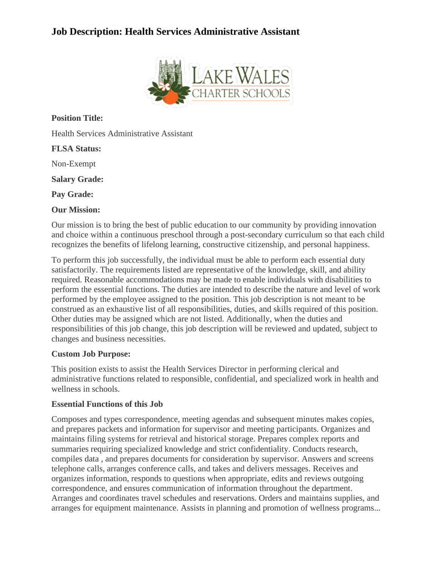# **Job Description: Health Services Administrative Assistant**



**Position Title:**

Health Services Administrative Assistant

#### **FLSA Status:**

Non-Exempt

**Salary Grade:**

**Pay Grade:**

#### **Our Mission:**

Our mission is to bring the best of public education to our community by providing innovation and choice within a continuous preschool through a post-secondary curriculum so that each child recognizes the benefits of lifelong learning, constructive citizenship, and personal happiness.

To perform this job successfully, the individual must be able to perform each essential duty satisfactorily. The requirements listed are representative of the knowledge, skill, and ability required. Reasonable accommodations may be made to enable individuals with disabilities to perform the essential functions. The duties are intended to describe the nature and level of work performed by the employee assigned to the position. This job description is not meant to be construed as an exhaustive list of all responsibilities, duties, and skills required of this position. Other duties may be assigned which are not listed. Additionally, when the duties and responsibilities of this job change, this job description will be reviewed and updated, subject to changes and business necessities.

#### **Custom Job Purpose:**

This position exists to assist the Health Services Director in performing clerical and administrative functions related to responsible, confidential, and specialized work in health and wellness in schools.

#### **Essential Functions of this Job**

Composes and types correspondence, meeting agendas and subsequent minutes makes copies, and prepares packets and information for supervisor and meeting participants. Organizes and maintains filing systems for retrieval and historical storage. Prepares complex reports and summaries requiring specialized knowledge and strict confidentiality. Conducts research, compiles data , and prepares documents for consideration by supervisor. Answers and screens telephone calls, arranges conference calls, and takes and delivers messages. Receives and organizes information, responds to questions when appropriate, edits and reviews outgoing correspondence, and ensures communication of information throughout the department. Arranges and coordinates travel schedules and reservations. Orders and maintains supplies, and arranges for equipment maintenance. Assists in planning and promotion of wellness programs...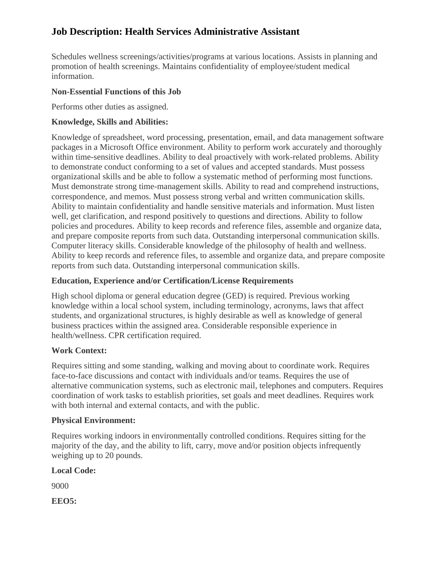# **Job Description: Health Services Administrative Assistant**

Schedules wellness screenings/activities/programs at various locations. Assists in planning and promotion of health screenings. Maintains confidentiality of employee/student medical information.

#### **Non-Essential Functions of this Job**

Performs other duties as assigned.

### **Knowledge, Skills and Abilities:**

Knowledge of spreadsheet, word processing, presentation, email, and data management software packages in a Microsoft Office environment. Ability to perform work accurately and thoroughly within time-sensitive deadlines. Ability to deal proactively with work-related problems. Ability to demonstrate conduct conforming to a set of values and accepted standards. Must possess organizational skills and be able to follow a systematic method of performing most functions. Must demonstrate strong time-management skills. Ability to read and comprehend instructions, correspondence, and memos. Must possess strong verbal and written communication skills. Ability to maintain confidentiality and handle sensitive materials and information. Must listen well, get clarification, and respond positively to questions and directions. Ability to follow policies and procedures. Ability to keep records and reference files, assemble and organize data, and prepare composite reports from such data. Outstanding interpersonal communication skills. Computer literacy skills. Considerable knowledge of the philosophy of health and wellness. Ability to keep records and reference files, to assemble and organize data, and prepare composite reports from such data. Outstanding interpersonal communication skills.

### **Education, Experience and/or Certification/License Requirements**

High school diploma or general education degree (GED) is required. Previous working knowledge within a local school system, including terminology, acronyms, laws that affect students, and organizational structures, is highly desirable as well as knowledge of general business practices within the assigned area. Considerable responsible experience in health/wellness. CPR certification required.

#### **Work Context:**

Requires sitting and some standing, walking and moving about to coordinate work. Requires face-to-face discussions and contact with individuals and/or teams. Requires the use of alternative communication systems, such as electronic mail, telephones and computers. Requires coordination of work tasks to establish priorities, set goals and meet deadlines. Requires work with both internal and external contacts, and with the public.

#### **Physical Environment:**

Requires working indoors in environmentally controlled conditions. Requires sitting for the majority of the day, and the ability to lift, carry, move and/or position objects infrequently weighing up to 20 pounds.

**Local Code:**

9000

**EEO5:**